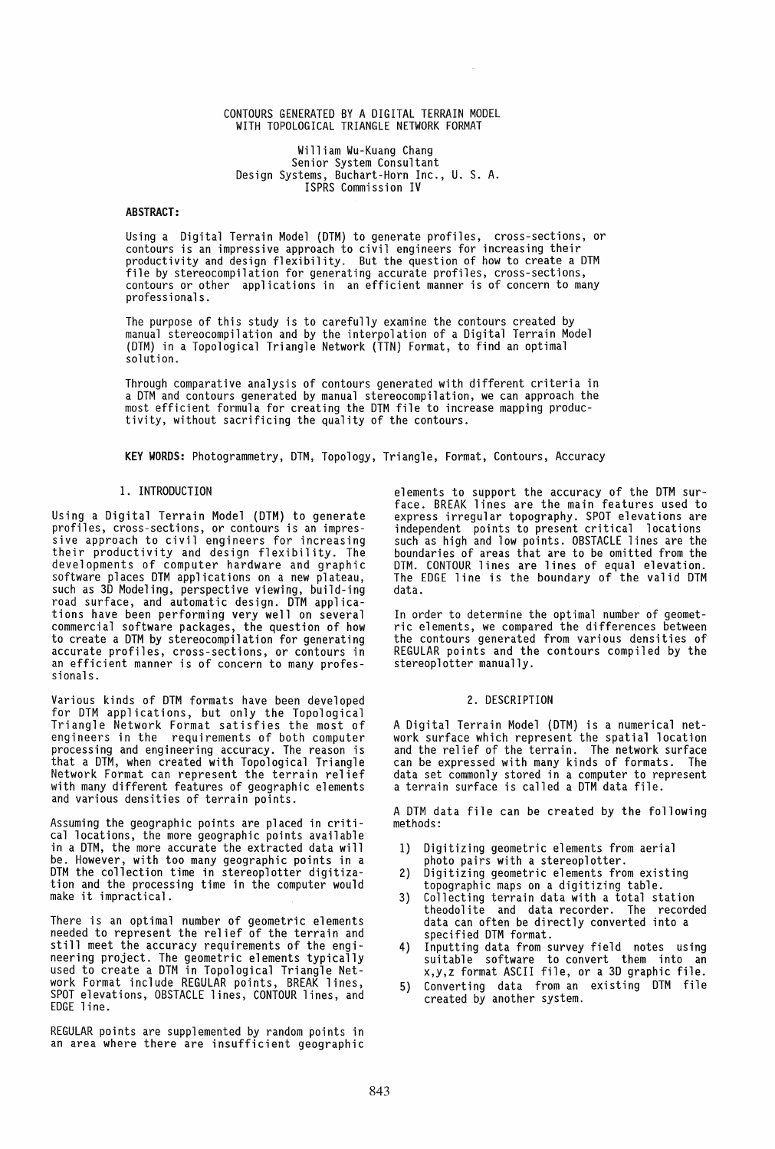## CONTOURS GENERATED BY A DIGITAL TERRAIN MODEL WITH TOPOLOGICAL TRIANGLE NETWORK FORMAT

William Wu-Kuang Chang Senior System Consultant Design Systems, Buchart-Horn Inc., U. S. A. ISPRS Commission IV

#### ABSTRACT:

Using a Digital Terrain Model (DTM) to generate profiles, cross-sections, or contours is an impressive approach to civil engineers for increasing their productivity and design flexibility. But the question of how to create a DTM file by stereocompilation for generating accurate profiles, cross-sections, contours or other applications in an efficient manner is of concern to many professionals.

The purpose of this study is to carefully examine the contours created by manual stereocompilation and by the interpolation of a Digital Terrain Model (DTM) in a Topological Triangle Network (TTN) Format, to find an optimal solution.

Through comparative analysis of contours generated with different criteria in a DTM and contours generated by manual stereocompilation, we can approach the most efficient formula for creating the DTM file to increase mapping produc- tivity, without sacrificing the quality of the contours.

KEY WORDS: Photogrammetry, DTM, Topology, Triangle, Format, Contours, Accuracy

#### 1. INTRODUCTION

Using a Digital Terrain Model (DTM) to generate profiles, cross-sections, or contours is an impressive approach to civil engineers for increasing their productivity and design flexibility. The developments of computer hard software places DTM applications on a new plateau,<br>such as 3D Modeling, perspective viewing, build-ing road surface, and automatic design. DTM applications have been performing very well on several commercial software packages, the question of how to create a DTM by stereocompilation for generating accurate profiles, cross-sections, or contours in an efficient manner is of concern to many profes–<br>sionals.

Various kinds of DTM formats have been developed for DTM applications, but only the Topological Triangle Network Format satisfies the most of processing and engineering accuracy. The reason is<br>that a DTM, when created with Topological Triangle that a DTM, when created with Topological Triangle<br>Network Format can represent the terrain relief with many different features of geographic elements and various densities of terrain points.

Assuming the geographic points are placed in critical locations, the more geographic points available in a DTM, the more accurate the extracted data will be. However, with too many geographic points in a DTM the collection time in stereoplotter digitiza- tion and the processing time in the computer would tion and the processing time in the computer would<br>make it impractical.

There is an optimal number of geometric elements needed to represent the relief of the terrain and still meet the accuracy requirements of the engi-<br>neering project. The geometric elements typically<br>used to create a DTM in Topological Triangle Network Format include REGULAR points, BREAK lines, SPOT elevations, OBSTACLE lines, CONTOUR lines, and EDGE line.

REGULAR points are supplemented by random points in an area where there are insufficient geographic

elements to support the accuracy of the DTM surface. BREAK lines are the main features used to express irregular topography. SPOT elevations are independent points to present critical locations such as high and low points. OBSTACLE lines are the boundaries of areas that are to be omitted from the DTM. CONTOUR lines are lines of equal elevation. The EDGE line is the boundary of the valid DTM data.

In order to determine the optimal number of geomet- ric elements, we compared the differences between the contours generated from various densities of REGULAR points and the contours compiled by the stereoplotter manually.

### 2. DESCRIPTION

A Digital Terrain Model (DTM) is a numerical network surface which represent the spatial location and the relief of the terrain. The network surface can be expressed with many kinds of formats. The data set commonly stored in a computer to represent a terrain surface is called a DTM data file.

A DTM data file can be created by the following methods:

- 1) Digitizing geometric elements from aerial
- 2) Digitizing geometric elements from existing
- topographic maps on a digitizing table. 3) Collecting terrain data with a total station theodolite and data recorder. The recorded data can often be directly converted into a
- specified DTM format.<br>Inputting data from survey field notes using 4) Inputting data from survey field notes using suitable software to convert them into an X,y,z format ASCII file, or a 3D graphic file.
- 5) Converting data from an existing DTM file created by another system.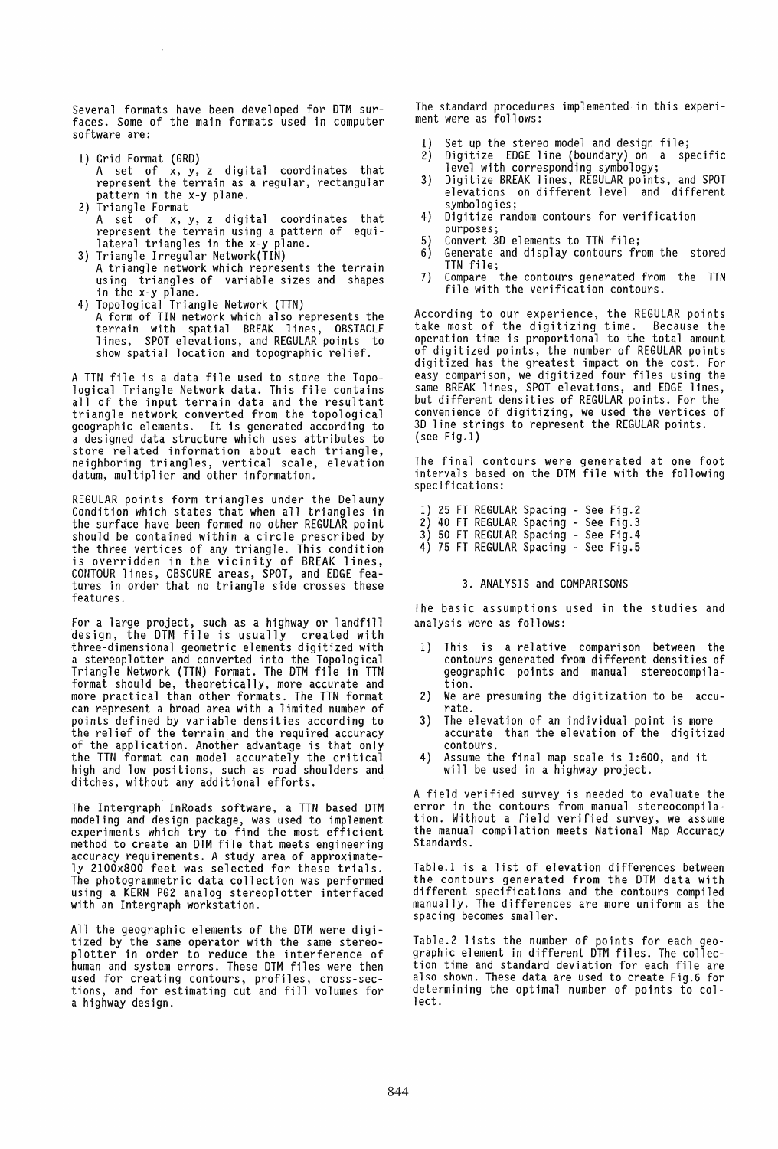Several formats have been developed for DTM surfaces. Some of the main formats used in computer software are:

- 1) Grid Format (GRD) A set of x, y, z digital coordinates that represent the terrain as a regular, rectangular pattern in the x-y plane. 2) Triangle Format
- A set of x, y, z digital coordinates that<br>represent the terrain using a pattern of equirepresent the terrain using a pattern of equi- lateral triangles in the x-y plane. 3) Triangle Irregular Network(TIN)
- A triangle network which represents the terrain using triangles of variable sizes and shapes in the x-y plane. 4) Topological Triangle Network (TTN)
- A form of TIN network which also represents the terrain with spatial BREAK lines, OBSTACLE lines, SPOT elevations, and REGULAR points to show spatial location and topographic relief.

A TTN file is a data file used to store the Topo- logical Triangle Network data. This file contains all of the input terrain data and the resultant<br>triangle network converted from the topological geographic elements. It is generated according to a designed data structure which uses attributes to store related information about each triangle, neighboring triangles, vertical scale, elevation neighboring triangles, vertical scale, elevation<br>datum, multiplier and other information.

REGULAR points form triangles under the Delauny Condition which states that when all triangles in the surface have been formed no other REGULAR point should be contained within a circle prescribed by the three vertices of any triangle. This condition is overridden in the vicinity of BREAK lines, CONTOUR lines, OBSCURE areas, SPOT, and EDGE features in order that no triangle side crosses these features.

For a large project, such as a highway or landfill design, the DTM file is usually created with three-dimensional geometric elements digitized with a stereoplotter and converted into the Topological Triangle Network (TTN) Format. The DTM file in TTN format should be, theoretically, more accurate and more practical than other formats. The TTN format can represent a broad area with a limited number of points defined by variable densities according to<br>the relief of the terrain and the required accuracy the relief of the terrain and the required accuracy of the application. Another advantage is that only the TTN format can model accurately the critical high and low positions, such as road shoulders and ditches, without any additional efforts.

The Intergraph InRoads software, a TTN based DTM modeling and design package, was used to implement experiments which try to find the most efficient method to create an DTM file that meets engineering accuracy requirements. A study area of approximate- ly 2IOOx800 feet was selected for these trials. The photogrammetric data collection was performed using a KERN PG2 analog stereoplotter interfaced with an Intergraph workstation.

All the geographic elements of the DTM were digi- tized by the same operator with the same stereoplotter in order to reduce the interference of human and system errors. These DTM files were then used for creating contours, profiles, cross-sections, and for estimating cut and fill volumes for a highway design.

The standard procedures implemented in this experiment were as follows:

- 
- 1) Set up the stereo model and design file;<br>2) Digitize EDGE line (boundary) on a specific 2) Digitize EDGE line (boundary) on a specific level with corresponding symbology; 3) Digitize BREAK lines, REGULAR points, and SPOT
- elevations on different level and different
- symbologies;<br>4) Digitize random contours for verification<br>purposes:
- 5) Convert 3D elements to TTN file;<br>6) Generate and display contours fr
- 6) Generate and display contours from the stored
- TTN file; 7) Compare the contours generated from the TTN file with the verification contours.

According to our experience, the REGULAR points take most of the digitizing time. Because the operation time is proportional to the total amount of digitized points, the number of REGULAR points digitized has the greatest impact on the cost. For easy comparison, we digitized four files using the same BREAK lines, SPOT elevations, and EDGE lines, but different densities of REGULAR points. For the convenience of digitizing, we used the vertices of 3D line strings to represent the REGULAR points. (see Fig.I)

The final contours were generated at one foot intervals based on the DTM file with the following specifications:

1) 25 FT REGULAR Spacing - See Fig.2 2) 40 FT REGULAR Spacing - See Fig.3 3) 50 FT REGULAR Spacing - See Fig.4 4) 75 FT REGULAR Spacing - See Fig.5

# 3. ANALYSIS and COMPARISONS

The basic assumptions used in the studies and analysis were as follows:

- 1) This is a relative comparison between the contours generated from different densities of geographic points and manual stereocompila- tion.
- 2) We are presuming the digitization to be accurate.
- 3) The elevation of an individual point is more accurate than the elevation of the digitized contours.
- 4) Assume the final map scale is 1:600, and it will be used in a highway project.

A field verified survey is needed to evaluate the error in the contours from manual stereocompilation. Without a field verified survey, we assume the manual compilation meets National Map Accuracy Standards.

Table.I is a list of elevation differences between the contours generated from the DTM data with different specifications and the contours compiled manually. The differences are more uniform as the spacing becomes smaller.

Table.2 lists the number of points for each geo- graphic element in different DTM files. The collection time and standard deviation for each file are also shown. These data are used to create Fig.6 for determining the optimal number of points to collect.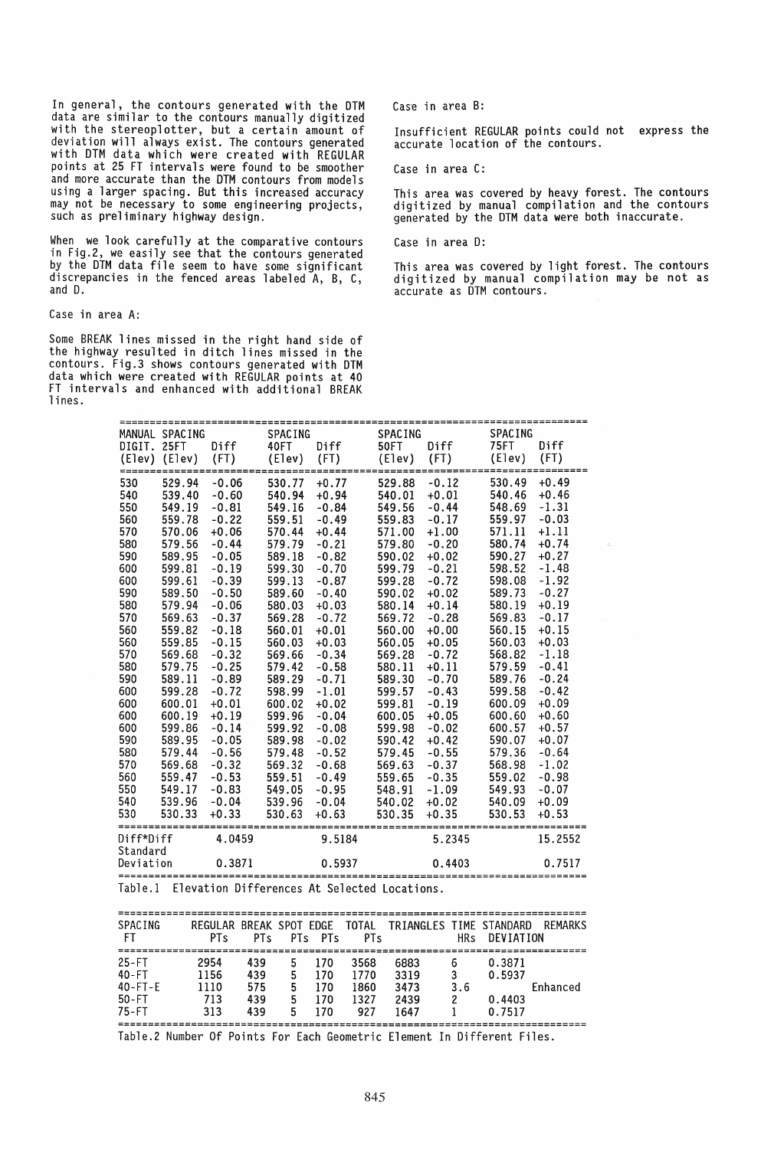In general, the contours generated with the DTM data are similar to the contours manually digitized with the stereoplotter, but a certain amount of deviation will always exist. The contours generated with DTM data which were created with REGULAR points at 25 FT intervals were found to be smoother and more accurate than the DTM contours from models using a larger spacing. But this increased accuracy may not be necessary to some engineering projects,<br>such as preliminary highway design.

When we look carefully at the comparative contours in Fig.2, we easily see that the contours generated by the DTM data file seem to have some significant discrepancies in the fenced areas labeled A, B, C, and D.

Case in area A:

Some BREAK lines missed in the right hand side of the highway resulted in ditch lines missed in the contours. Fig.3 shows contours generated with DTM data which were created with REGULAR points at 40 FT intervals and enhanced with additional BREAK lines.

Case in area B:

Insufficient REGULAR points could not express the accurate location of the contours.

Case in area C:

This area was covered by heavy forest. The contours digitized by manual compilation and the contours generated by the DTM data were both inaccurate.

Case in area D:

This area was covered by light forest. The contours digitized by manual compilation may be not as accurate as DTM contours.

|                                                      | MANUAL SPACING   |                  | <b>SPACING</b>   |                    | SPACING          |         | <b>SPACING</b> |         |  |  |
|------------------------------------------------------|------------------|------------------|------------------|--------------------|------------------|---------|----------------|---------|--|--|
| DIGIT, 25FT                                          |                  | Diff             | 40FT             | Diff               | <b>50FT</b>      | Diff    | <b>75FT</b>    | Diff    |  |  |
|                                                      | (Elev) (Elev)    | (FT)             | (Elev)           | (FT)               | (Elev)           | (FT)    | (Elev)         | (FT)    |  |  |
| 530                                                  |                  | =====<br>$-0.06$ |                  |                    |                  | $-0.12$ | 530.49         | $+0.49$ |  |  |
| 540                                                  | 529.94<br>539.40 | $-0.60$          | 530.77<br>540.94 | $+0.77$<br>$+0.94$ | 529.88<br>540.01 | $+0.01$ | 540.46         | $+0.46$ |  |  |
| 550                                                  | 549.19           | $-0.81$          | 549.16           | $-0.84$            | 549.56           | $-0.44$ | 548.69         | $-1.31$ |  |  |
| 560                                                  | 559.78           | $-0.22$          | 559.51           | $-0.49$            | 559.83           | $-0.17$ | 559.97         | $-0.03$ |  |  |
| 570                                                  | 570.06           | $+0.06$          | 570.44           | $+0.44$            | 571.00           | $+1.00$ | 571.11         | $+1.11$ |  |  |
| 580                                                  | 579.56           | $-0.44$          | 579.79           | $-0.21$            | 579.80           | $-0.20$ | 580.74         | $+0.74$ |  |  |
| 590                                                  | 589.95           | $-0.05$          | 589.18           | $-0.82$            | 590.02           | $+0.02$ | 590.27         | $+0.27$ |  |  |
| 600                                                  | 599.81           | $-0.19$          | 599.30           | $-0.70$            | 599.79           | $-0.21$ | 598.52         | $-1.48$ |  |  |
| 600                                                  | 599.61           | $-0.39$          | 599.13           | $-0.87$            | 599.28           | $-0.72$ | 598.08         | $-1.92$ |  |  |
| 590                                                  | 589.50           | $-0.50$          | 589.60           | $-0.40$            | 590.02           | $+0.02$ | 589.73         | $-0.27$ |  |  |
| 580                                                  | 579.94           | $-0.06$          | 580.03           | $+0.03$            | 580.14           | $+0.14$ | 580.19         | $+0.19$ |  |  |
| 570                                                  | 569.63           | $-0.37$          | 569.28           | $-0.72$            | 569.72           | $-0.28$ | 569.83         | $-0.17$ |  |  |
| 560                                                  | 559.82           | $-0.18$          | 560.01           | $+0.01$            | 560.00           | $+0.00$ | 560.15         | $+0.15$ |  |  |
| 560                                                  | 559.85           | $-0.15$          | 560.03           | $+0.03$            | 560.05           | $+0.05$ | 560.03         | $+0.03$ |  |  |
| 570                                                  | 569.68           | $-0.32$          | 569.66           | $-0.34$            | 569.28           | $-0.72$ | 568.82         | $-1.18$ |  |  |
| 580                                                  | 579.75           | $-0.25$          | 579.42           | $-0.58$            | 580.11           | $+0.11$ | 579.59         | $-0.41$ |  |  |
| 590                                                  | 589.11           | $-0.89$          | 589.29           | $-0.71$            | 589.30           | $-0.70$ | 589.76         | $-0.24$ |  |  |
| 600                                                  | 599.28           | $-0.72$          | 598.99           | $-1.01$            | 599.57           | $-0.43$ | 599.58         | $-0.42$ |  |  |
| 600                                                  | 600.01           | $+0.01$          | 600.02           | $+0.02$            | 599.81           | $-0.19$ | 600.09         | $+0.09$ |  |  |
| 600                                                  | 600.19           | $+0.19$          | 599.96           | $-0.04$            | 600.05           | $+0.05$ | 600.60         | $+0.60$ |  |  |
| 600                                                  | 599.86           | $-0.14$          | 599.92           | $-0.08$            | 599.98           | $-0.02$ | 600.57         | $+0.57$ |  |  |
| 590                                                  | 589.95           | $-0.05$          | 589.98           | $-0.02$            | 590.42           | $+0.42$ | 590.07         | $+0.07$ |  |  |
| 580                                                  | 579.44           | $-0.56$          | 579.48           | $-0.52$            | 579.45           | $-0.55$ | 579.36         | $-0.64$ |  |  |
| 570                                                  | 569.68           | $-0.32$          | 569.32           | $-0.68$            | 569.63           | $-0.37$ | 568.98         | $-1.02$ |  |  |
| 560                                                  | 559.47           | $-0.53$          | 559.51           | $-0.49$            | 559.65           | $-0.35$ | 559.02         | $-0.98$ |  |  |
| 550                                                  | 549.17           | $-0.83$          | 549.05           | $-0.95$            | 548.91           | $-1.09$ | 549.93         | $-0.07$ |  |  |
| 540                                                  | 539.96           | $-0.04$          | 539.96           | $-0.04$            | 540.02           | $+0.02$ | 540.09         | $+0.09$ |  |  |
| 530                                                  | 530.33           | $+0.33$          | 530.63           | $+0.63$            | 530.35           | $+0.35$ | 530.53         | $+0.53$ |  |  |
|                                                      |                  |                  |                  |                    |                  |         |                |         |  |  |
| Diff*Diff                                            |                  | 4.0459           |                  | 9.5184             |                  | 5.2345  |                | 15.2552 |  |  |
| Standard                                             |                  |                  |                  |                    |                  |         |                |         |  |  |
| 0.3871<br>Deviation                                  |                  |                  | 0.5937           |                    | 0.4403           |         | 0.7517         |         |  |  |
| ===========================                          |                  |                  |                  |                    |                  |         |                |         |  |  |
| Table.1 Elevation Differences At Selected Locations. |                  |                  |                  |                    |                  |         |                |         |  |  |

| SPACING<br>-FT | PTs  | PT <sub>S</sub> | PT <sub>S</sub> | PTs | PTs  | REGULAR BREAK SPOT EDGE TOTAL TRIANGLES TIME STANDARD | <b>HR<sub>S</sub></b> | DEVIATION | <b>REMARKS</b> |
|----------------|------|-----------------|-----------------|-----|------|-------------------------------------------------------|-----------------------|-----------|----------------|
|                |      |                 |                 |     |      |                                                       |                       |           |                |
| 25-FT          | 2954 | 439             |                 | 170 | 3568 | 6883                                                  | 6                     | 0.3871    |                |
| $40-FT$        | 1156 | 439             | 5               | 170 | 1770 | 3319                                                  | 3                     | 0.5937    |                |
| $40-FT-F$      | 1110 | 575             | 5               | 170 | 1860 | 3473                                                  | 3.6                   |           | Enhanced       |
| $50 - FT$      | 713  | 439             | 5               | 170 | 1327 | 2439                                                  | 2                     | 0.4403    |                |
| $75 - FT$      | 313  | 439             | 5               | 170 | 927  | 1647                                                  |                       | 0.7517    |                |
|                |      |                 |                 |     |      |                                                       |                       |           |                |

Table.2 Number Of Points For Each Geometric Element In Different Files.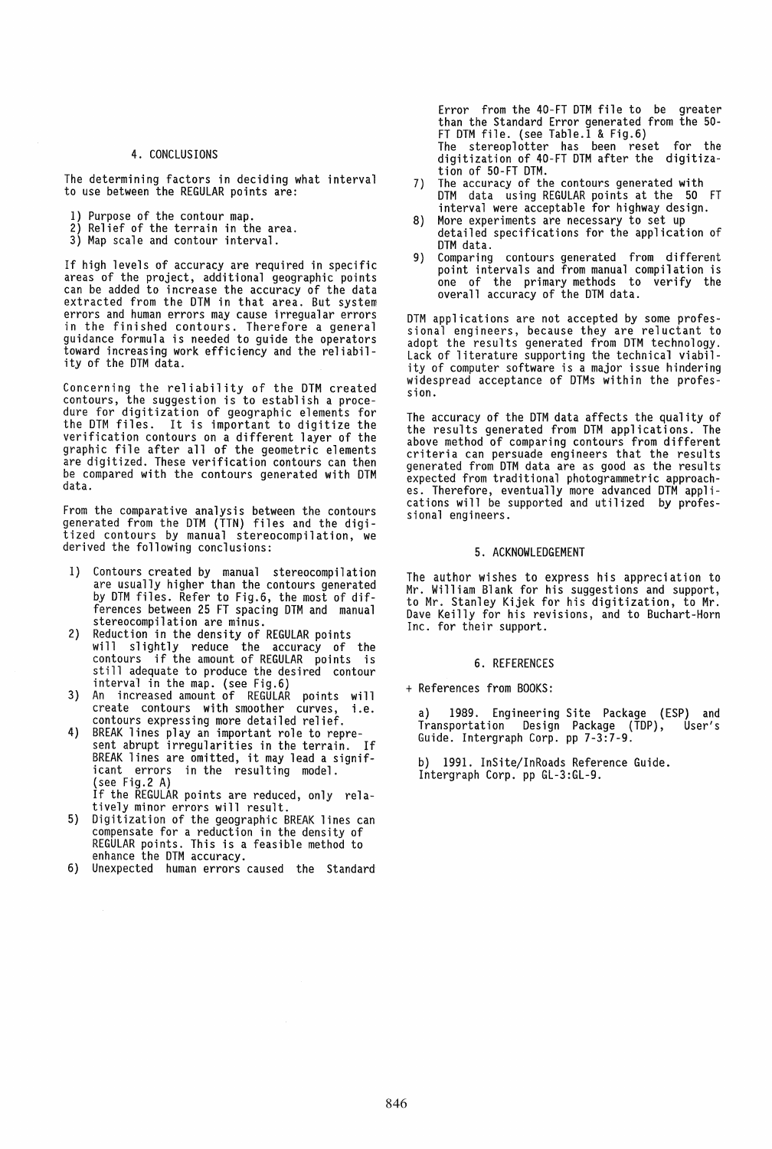## 4. CONCLUSIONS

The determining factors in deciding what interval to use between the REGULAR points are:

- 
- 1) Purpose of the contour map. 2) Relief of the terrain in the area.
- 3) Map scale and contour interval.

If high levels of accuracy are required in specific areas of the project, additional geographic points can be added to increase the accuracy of the data extracted from the DTM in that area. But system errors and human errors may cause irregualar errors in the finished contours. Therefore a general guidance formula is needed to guide the operators toward increasing work efficiency and the reliability of the DTM data.

Concerning the reliability of the DTM created contours, the suggestion is to establish a proce- dure for digitization of geographic elements for the DTM files. It is important to digitize the verification contours on a different layer of the graphic file after all of the geometric elements are digitized. These verification contours can then be compared with the contours generated with DTM data.

From the comparative analysis between the contours generated from the DTM (TTN) files and the digitized contours by manual stereocompilation, we derived the following conclusions:

- 1) Contours created by manual stereocompilation are usually higher than the contours generated by DTM files. Refer to Fig.6, the most of difby DTM files. Refer to Fig.6, the most of dif-<br>ferences between 25 FT spacing DTM and manual stereocompilation are minus.
- 2) Reduction in the density of REGULAR points will slightly reduce the accuracy of the will slightly reduce the accuracy of the<br>contours if the amount of REGULAR points is still adequate to produce the desired contour
- interval in the map. (see Fig.6)<br>3) An increased amount of REGULAR points will<br>create contours with smoother curves, i.e. create contours with smoother curves, contours expressing more detailed relief.
- 4) BREAK lines play an important role to represent abrupt irregularities in the terrain. If BREAK lines are omitted, it may lead a signif- icant errors in the resulting model. (see Fig.2 A) If the REGULAR points are reduced, only rela-

tively minor errors will result. 5) Digitization of the geographic BREAK lines can compensate for a reduction in the density of

REGULAR points. This is a feasible method to enhance the DTM accuracy. 6) Unexpected human errors caused the Standard Error from the 40-FT DTM file to be greater than the Standard Error generated from the 50- FT DTM file. (see Table.1 & Fig.6) The stereoplotter has been reset for the digitization of 40-FT DTM after the digitiza- tion of 50-FT DTM.

- tion of 50-FT DTM.<br>7) The accuracy of the contours generated with DTM data using REGULAR points at the 50 FT
- interval were acceptable for highway design.<br>8) More experiments are necessary to set up<br>detailed specifications for the application of DTM data.
- 9) Comparing contours generated from different point intervals and from manual compilation is one of the primary methods to verify the overall accuracy of the DTM data.

DTM applications are not accepted by some profes- sional engineers, because they are reluctant to adopt the results generated from DTM technology. Lack of literature supporting the technical viabil-Lack of literature supporting the technical viability of computer software is a major issue hindering widespread acceptance of DTMs within the profes-<br>sion.

The accuracy of the DTM data affects the quality of the results generated from DTM applications. The above method of comparing contours from different criteria can persuade engineers that the results generated from DTM data are as good as the results expected from traditional photogrammetric approaches. Therefore, eventually more advanced DTM appli-<br>cations will be supported and utilized by profes-<br>sional engineers.

### 5. ACKNOWLEDGEMENT

The author wishes to express his appreciation to Mr. William Blank for his suggestions and support, to Mr. Stanley Kijek for his digitization, to Mr. Dave Keilly for his revisions, and to Buchart-Horn Inc. for their support.

### 6. REFERENCES

+ References from BOOKS:

a) 1989. Engineering Site Package (ESP) and Transportation Design Package (TDP), User's Guide. Intergraph Corp. pp 7-3:7-9.

b) 1991. InSite/InRoads Reference Guide. Intergraph Corp. pp Gl-3:GL-9.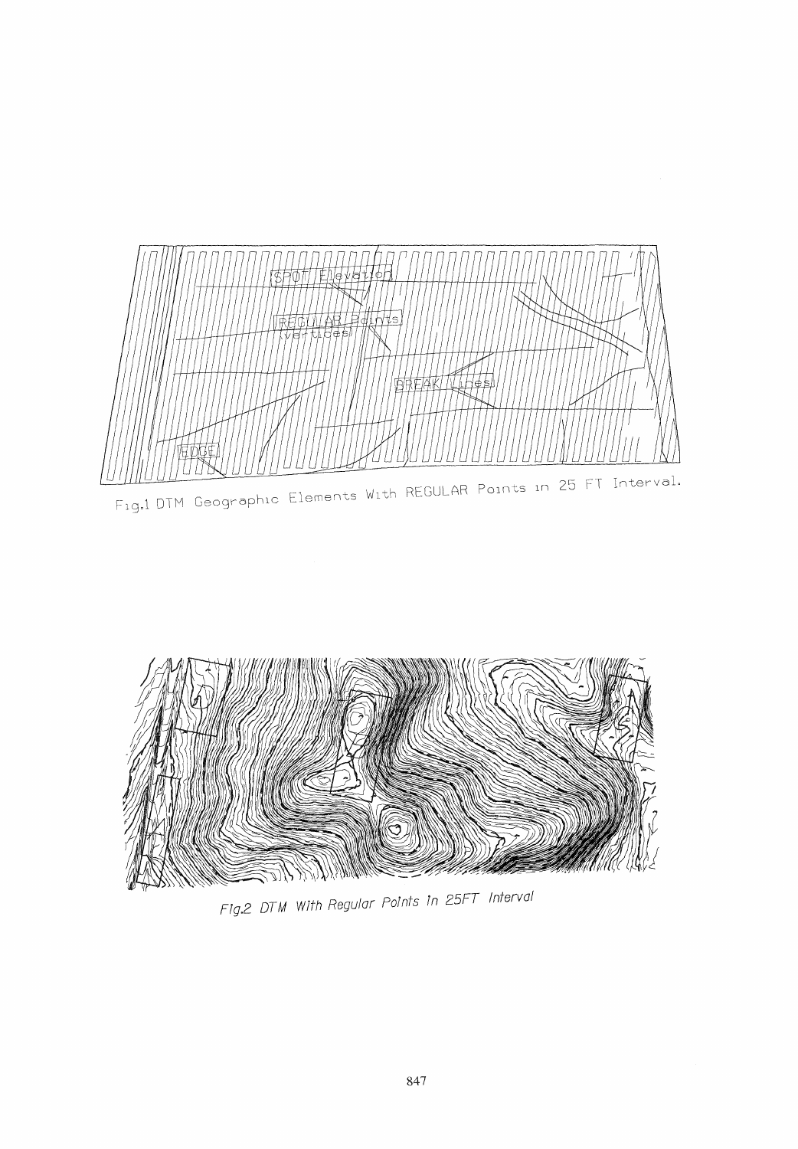

Fig.2 DTM With Regular Points in 25FT Interval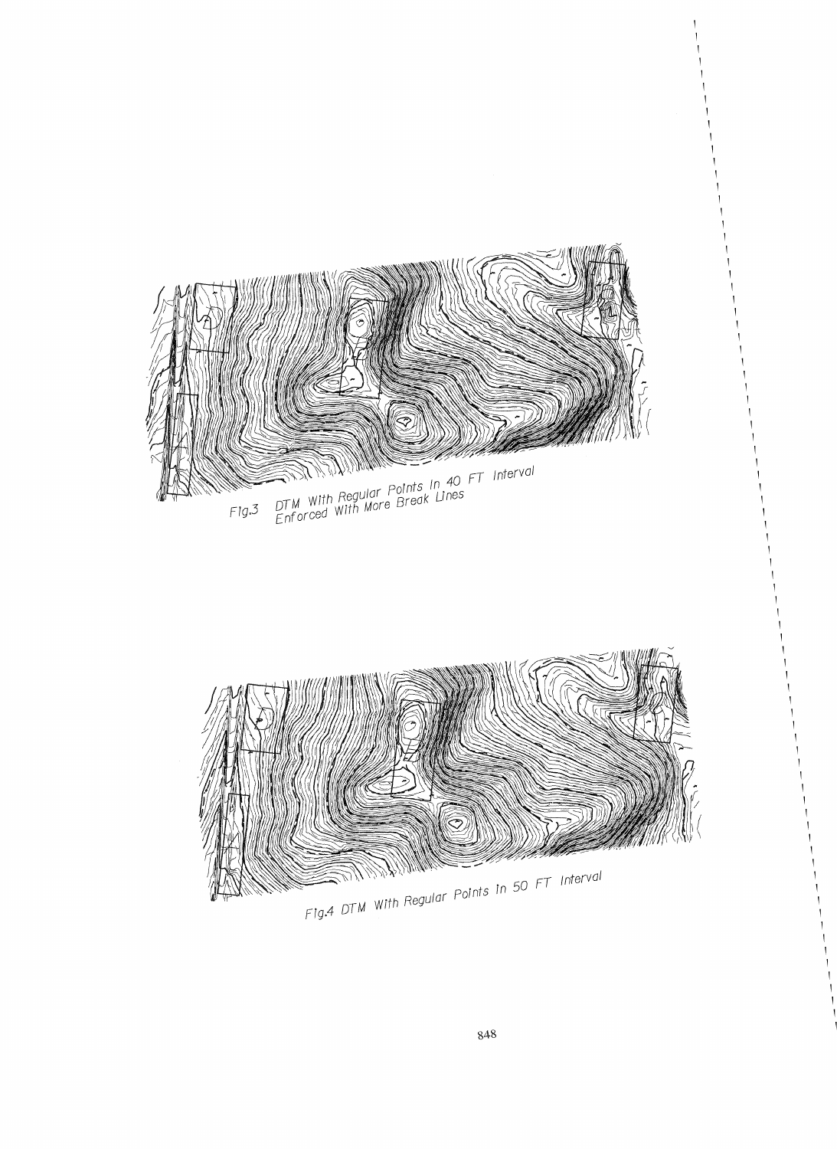